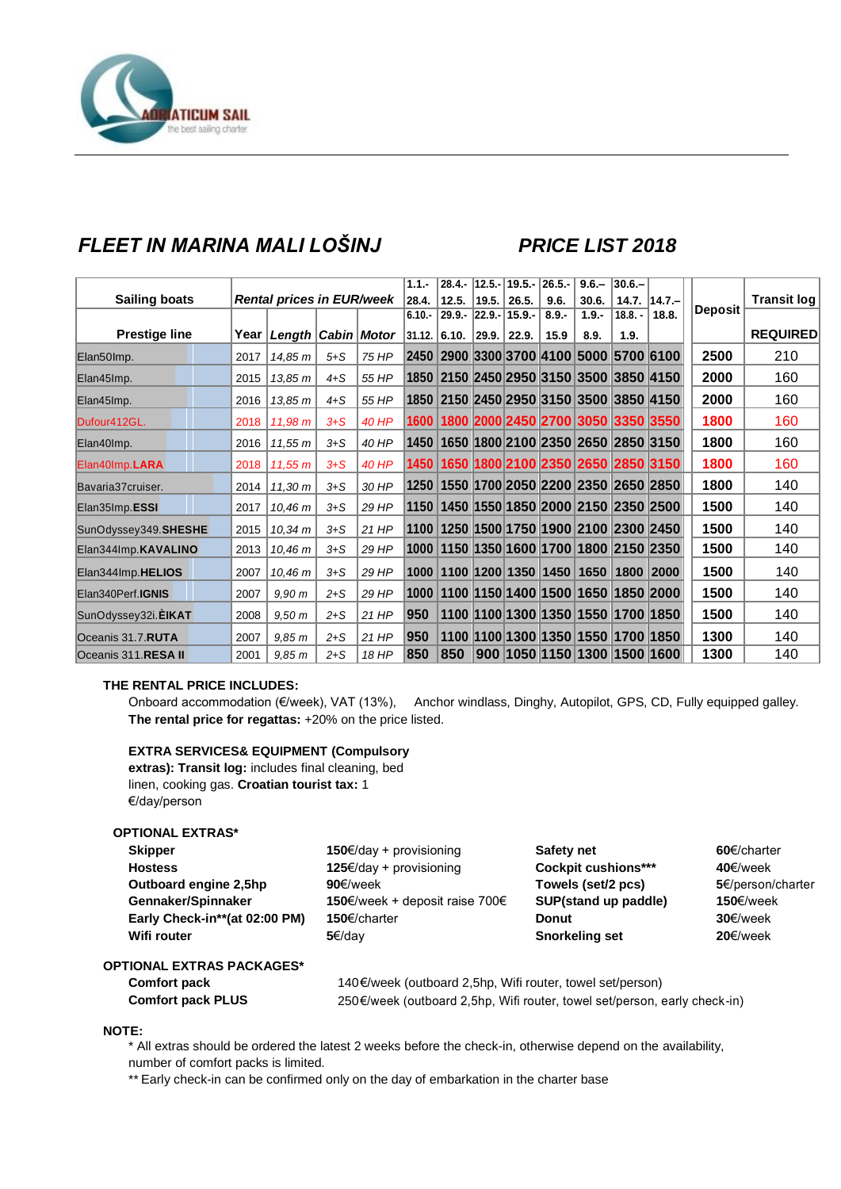

## *FLEET IN MARINA MALI LOŠINJ PRICE LIST 2018*

|                      |      |                                  |         |              | $1.1 -$  |                             |       | $28.4 - 12.5 - 19.5 -$ | $26.5 -$ | $9.6 -$                                               | $ 30.6 -$ |                 |                |                    |
|----------------------|------|----------------------------------|---------|--------------|----------|-----------------------------|-------|------------------------|----------|-------------------------------------------------------|-----------|-----------------|----------------|--------------------|
| <b>Sailing boats</b> |      | <b>Rental prices in EUR/week</b> |         |              | 28.4.    | 12.5.                       | 19.5. | 26.5.                  | 9.6.     | 30.6.                                                 |           | $14.7.$  14.7.- | <b>Deposit</b> | <b>Transit log</b> |
|                      |      |                                  |         |              | $6.10 -$ |                             |       | $29.9 - 22.9 - 15.9 -$ | $8.9 -$  | $1.9 -$                                               | $18.8. -$ | 18.8.           |                |                    |
| <b>Prestige line</b> |      | Year   Length   Cabin   Motor    |         |              |          | $ 31.12 $ 6.10. 29.9. 22.9. |       |                        | 15.9     | 8.9.                                                  | 1.9.      |                 |                | <b>REQUIRED</b>    |
| Elan50lmp.           | 2017 | 14,85 m                          | $5 + S$ | 75 HP        |          |                             |       |                        |          | 2450   2900   3300   3700   4100   5000   5700   6100 |           |                 | 2500           | 210                |
| Elan45Imp.           | 2015 | 13,85 m                          | $4 + S$ | 55 HP        |          |                             |       |                        |          | 1850 2150 2450 2950 3150 3500 3850 4150               |           |                 | 2000           | 160                |
| Elan45Imp.           | 2016 | 13,85 m                          | $4 + S$ | 55 HP        |          |                             |       |                        |          | 1850   2150   2450   2950   3150   3500   3850   4150 |           |                 | 2000           | 160                |
| Dufour412GL.         | 2018 | 11,98 m                          | $3 + S$ | <b>40 HP</b> | 1600     |                             |       |                        |          | 1800 2000 2450 2700 3050 3350 3550                    |           |                 | 1800           | 160                |
| Elan40lmp.           | 2016 | 11.55 m                          | $3 + S$ | 40 HP        | 1450     |                             |       |                        |          | 1650 1800 2100 2350 2650 2850 3150                    |           |                 | 1800           | 160                |
| Elan40Imp.LARA       | 2018 | 11,55 m                          | $3 + S$ | <b>40 HP</b> | 1450     |                             |       |                        |          | 1650 1800 2100 2350 2650 2850 3150                    |           |                 | 1800           | 160                |
| Bavaria37cruiser.    | 2014 | 11,30 m                          | $3 + S$ | 30 HP        | 1250     |                             |       |                        |          | 1550 1700 2050 2200 2350 2650 2850                    |           |                 | 1800           | 140                |
| Elan35Imp.ESSI       | 2017 | 10.46 m                          | $3 + S$ | 29 HP        | 1150     |                             |       |                        |          | 1450 1550 1850 2000 2150 2350 2500                    |           |                 | 1500           | 140                |
| SunOdyssey349.SHESHE | 2015 | 10.34 m                          | $3 + S$ | 21 HP        | 1100     |                             |       |                        |          | 1250 1500 1750 1900 2100 2300 2450                    |           |                 | 1500           | 140                |
| Elan344Imp.KAVALINO  | 2013 | 10,46 m                          | $3 + S$ | 29 HP        | 1000     |                             |       |                        |          | 1150 1350 1600 1700 1800 2150 2350                    |           |                 | 1500           | 140                |
| Elan344Imp.HELIOS    | 2007 | 10,46 m                          | $3 + S$ | 29 HP        | 1000     |                             |       |                        |          | 1100 1200 1350 1450 1650 1800 2000                    |           |                 | 1500           | 140                |
| Elan340Perf.IGNIS    | 2007 | 9,90 m                           | $2 + S$ | 29 HP        | 1000     |                             |       |                        |          | 1100 1150 1400 1500 1650 1850 2000                    |           |                 | 1500           | 140                |
| SunOdyssey32i.EIKAT  | 2008 | 9.50 <sub>m</sub>                | $2 + S$ | $21$ HP      | 950      |                             |       |                        |          | 1100 1100 1300 1350 1550 1700 1850                    |           |                 | 1500           | 140                |
| Oceanis 31.7.RUTA    | 2007 | 9.85 m                           | $2 + S$ | 21 HP        | 950      |                             |       |                        |          | 1100 1100 1300 1350 1550 1700 1850                    |           |                 | 1300           | 140                |
| Oceanis 311.RESA II  | 2001 | 9,85 m                           | $2 + S$ | 18 HP        | 850      | 850                         |       |                        |          | 900  1050  1150  1300  1500  1600                     |           |                 | 1300           | 140                |

#### **THE RENTAL PRICE INCLUDES:**

Onboard accommodation (€/week), VAT (13%), Anchor windlass, Dinghy, Autopilot, GPS, CD, Fully equipped galley. **The rental price for regattas:** +20% on the price listed.

#### **EXTRA SERVICES& EQUIPMENT (Compulsory**

**extras): Transit log:** includes final cleaning, bed linen, cooking gas. **Croatian tourist tax:** 1 €/day/person

#### **OPTIONAL EXTRAS\***

| <b>Skipper</b>                | <b>150€/day + provisioning</b>        | <b>Safety net</b>          | $60 \in$ /charter |
|-------------------------------|---------------------------------------|----------------------------|-------------------|
| <b>Hostess</b>                | <b>125€/day + provisioning</b>        | <b>Cockpit cushions***</b> | 40€/week          |
| Outboard engine 2,5hp         | 90 $\varepsilon$ /week                | Towels (set/2 pcs)         | 5€/person/charter |
| Gennaker/Spinnaker            | <b>150€/week + deposit raise 700€</b> | SUP(stand up paddle)       | 150€/week         |
| Early Check-in**(at 02:00 PM) | 150€/charter                          | <b>Donut</b>               | $30 \in$ /week    |
| Wifi router                   | 5€/dav                                | <b>Snorkeling set</b>      | $20 \in$ /week    |
| TIONAL FYTRAS PACKAGES*       |                                       |                            |                   |

### **OPTIONAL EXTRAS PACKAGES\***

**Comfort pack** 140€/week (outboard 2,5hp, Wifi router, towel set/person) **Comfort pack PLUS** 250€/week (outboard 2,5hp, Wifi router, towel set/person, early check-in)

#### **NOTE:**

\* All extras should be ordered the latest 2 weeks before the check-in, otherwise depend on the availability, number of comfort packs is limited.

\*\* Early check-in can be confirmed only on the day of embarkation in the charter base